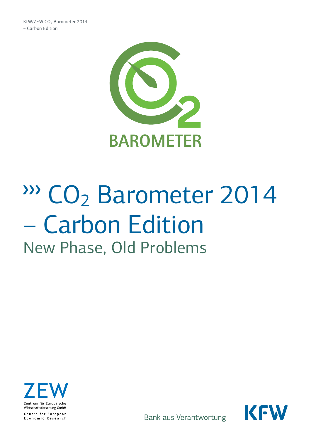

# ∆CO2 Barometer 2014 – Carbon Edition New Phase, Old Problems





Bank aus Verantwortung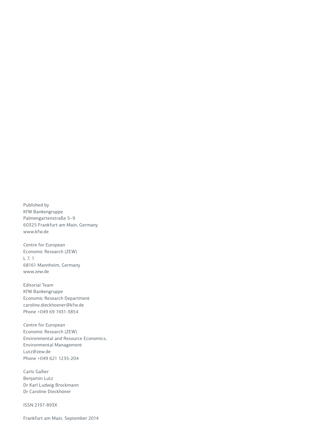Published by KfW Bankengruppe Palmengartenstraße 5–9 60325 Frankfurt am Main, Germany www.kfw.de

Centre for European Economic Research (ZEW) L 7, 1 68161 Mannheim, Germany www.zew.de

Editorial Team KfW Bankengruppe Economic Research Department caroline.dieckhoener@kfw.de Phone +049 69 7431-3854

Centre for European Economic Research (ZEW) Environmental and Resource Economics, Environmental Management Lutz@zew.de Phone +049 621 1235-204

Carlo Gallier Benjamin Lutz Dr Karl Ludwig Brockmann Dr Caroline Dieckhöner

ISSN 2197-893X

Frankfurt am Main, September 2014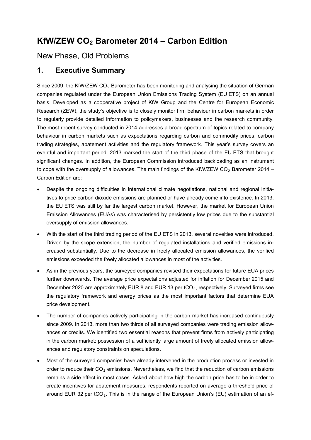## **KfW/ZEW CO2 Barometer 2014 – Carbon Edition**

## New Phase, Old Problems

## **1. Executive Summary**

Since 2009, the KfW/ZEW  $CO<sub>2</sub>$  Barometer has been monitoring and analysing the situation of German companies regulated under the European Union Emissions Trading System (EU ETS) on an annual basis. Developed as a cooperative project of KfW Group and the Centre for European Economic Research (ZEW), the study's objective is to closely monitor firm behaviour in carbon markets in order to regularly provide detailed information to policymakers, businesses and the research community. The most recent survey conducted in 2014 addresses a broad spectrum of topics related to company behaviour in carbon markets such as expectations regarding carbon and commodity prices, carbon trading strategies, abatement activities and the regulatory framework. This year's survey covers an eventful and important period. 2013 marked the start of the third phase of the EU ETS that brought significant changes. In addition, the European Commission introduced backloading as an instrument to cope with the oversupply of allowances. The main findings of the KfW/ZEW CO<sub>2</sub> Barometer 2014 – Carbon Edition are:

- Despite the ongoing difficulties in international climate negotiations, national and regional initiatives to price carbon dioxide emissions are planned or have already come into existence. In 2013, the EU ETS was still by far the largest carbon market. However, the market for European Union Emission Allowances (EUAs) was characterised by persistently low prices due to the substantial oversupply of emission allowances.
- With the start of the third trading period of the EU ETS in 2013, several novelties were introduced. Driven by the scope extension, the number of regulated installations and verified emissions increased substantially. Due to the decrease in freely allocated emission allowances, the verified emissions exceeded the freely allocated allowances in most of the activities.
- As in the previous years, the surveyed companies revised their expectations for future EUA prices further downwards. The average price expectations adjusted for inflation for December 2015 and December 2020 are approximately EUR 8 and EUR 13 per  $tCO<sub>2</sub>$ , respectively. Surveyed firms see the regulatory framework and energy prices as the most important factors that determine EUA price development.
- The number of companies actively participating in the carbon market has increased continuously since 2009. In 2013, more than two thirds of all surveyed companies were trading emission allowances or credits. We identified two essential reasons that prevent firms from actively participating in the carbon market: possession of a sufficiently large amount of freely allocated emission allowances and regulatory constraints on speculations.
- Most of the surveyed companies have already intervened in the production process or invested in order to reduce their  $CO<sub>2</sub>$  emissions. Nevertheless, we find that the reduction of carbon emissions remains a side effect in most cases. Asked about how high the carbon price has to be in order to create incentives for abatement measures, respondents reported on average a threshold price of around EUR 32 per tCO<sub>2</sub>. This is in the range of the European Union's (EU) estimation of an ef-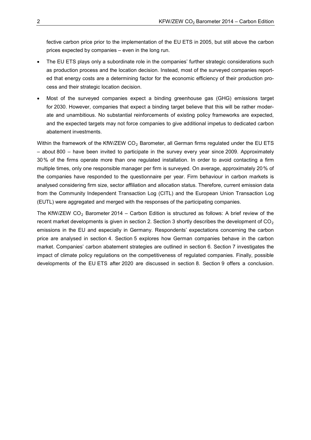fective carbon price prior to the implementation of the EU ETS in 2005, but still above the carbon prices expected by companies – even in the long run.

- The EU ETS plays only a subordinate role in the companies' further strategic considerations such as production process and the location decision. Instead, most of the surveyed companies reported that energy costs are a determining factor for the economic efficiency of their production process and their strategic location decision.
- Most of the surveyed companies expect a binding greenhouse gas (GHG) emissions target for 2030. However, companies that expect a binding target believe that this will be rather moderate and unambitious. No substantial reinforcements of existing policy frameworks are expected, and the expected targets may not force companies to give additional impetus to dedicated carbon abatement investments.

Within the framework of the KfW/ZEW  $CO<sub>2</sub>$  Barometer, all German firms regulated under the EU ETS – about 800 – have been invited to participate in the survey every year since 2009. Approximately 30% of the firms operate more than one regulated installation. In order to avoid contacting a firm multiple times, only one responsible manager per firm is surveyed. On average, approximately 20% of the companies have responded to the questionnaire per year. Firm behaviour in carbon markets is analysed considering firm size, sector affiliation and allocation status. Therefore, current emission data from the Community Independent Transaction Log (CITL) and the European Union Transaction Log (EUTL) were aggregated and merged with the responses of the participating companies.

The KfW/ZEW  $CO<sub>2</sub>$  Barometer 2014 – Carbon Edition is structured as follows: A brief review of the recent market developments is given in section 2. Section 3 shortly describes the development of  $CO<sub>2</sub>$ emissions in the EU and especially in Germany. Respondents' expectations concerning the carbon price are analysed in section 4. Section 5 explores how German companies behave in the carbon market. Companies' carbon abatement strategies are outlined in section 6. Section 7 investigates the impact of climate policy regulations on the competitiveness of regulated companies. Finally, possible developments of the EU ETS after 2020 are discussed in section 8. Section 9 offers a conclusion.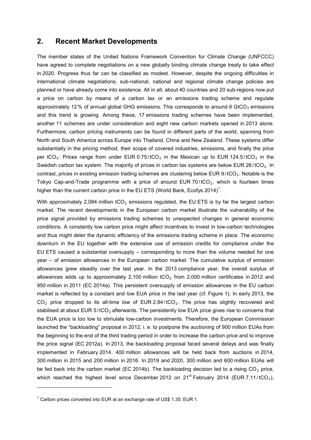## **2. Recent Market Developments**

The member states of the United Nations Framework Convention for Climate Change (UNFCCC) have agreed to complete negotiations on a new globally binding climate change treaty to take effect in 2020. Progress thus far can be classified as modest. However, despite the ongoing difficulties in international climate negotiations, sub-national, national and regional climate change policies are planned or have already come into existence. All in all, about 40 countries and 20 sub-regions now put a price on carbon by means of a carbon tax or an emissions trading scheme and regulate approximately 12% of annual global GHG emissions. This corresponds to around 6 GtCO<sub>2</sub> emissions and this trend is growing. Among these, 17 emissions trading schemes have been implemented, another 11 schemes are under consideration and eight new carbon markets opened in 2013 alone. Furthermore, carbon pricing instruments can be found in different parts of the world, spanning from North and South America across Europe into Thailand, China and New Zealand. These systems differ substantially in the pricing method, their scope of covered industries, emissions, and finally the price per tCO<sub>2</sub>. Prices range from under EUR  $0.75 / tCO<sub>2</sub>$  in the Mexican up to EUR 124.5/tCO<sub>2</sub> in the Swedish carbon tax system. The majority of prices in carbon tax systems are below EUR 26/ $tCO<sub>2</sub>$ . In contrast, prices in existing emission trading schemes are clustering below EUR  $9/1CO<sub>2</sub>$ . Notable is the Tokyo Cap-and-Trade programme with a price of around EUR 70/ $tCO_2$ , which is fourteen times higher than the current carbon price in the EU ETS (World Bank, Ecofys 20[1](#page-4-0)4)<sup>1</sup>.

With approximately 2,084 million  $tCO<sub>2</sub>$  emissions regulated, the EU ETS is by far the largest carbon market. The recent developments in the European carbon market illustrate the vulnerability of the price signal provided by emissions trading schemes to unexpected changes in general economic conditions. A constantly low carbon price might affect incentives to invest in low-carbon technologies and thus might deter the dynamic efficiency of the emissions trading scheme in place. The economic downturn in the EU together with the extensive use of emission credits for compliance under the EU ETS caused a substantial oversupply – corresponding to more than the volume needed for one year – of emission allowances in the European carbon market. The cumulative surplus of emission allowances grew steadily over the last year. In the 2013 compliance year, the overall surplus of allowances adds up to approximately 2,100 million  $tCO<sub>2</sub>$  from 2,000 million certificates in 2012 and 950 million in 2011 (EC 2014a). This persistent oversupply of emission allowances in the EU carbon market is reflected by a constant and low EUA price in the last year (cf. Figure 1). In early 2013, the  $CO<sub>2</sub>$  price dropped to its all-time low of EUR 2.84/tCO<sub>2</sub>. The price has slightly recovered and stabilised at about EUR  $5/10<sub>2</sub>$  afterwards. The persistently low EUA price gives rise to concerns that the EUA price is too low to stimulate low-carbon investments. Therefore, the European Commission launched the "backloading" proposal in 2012, i. e. to postpone the auctioning of 900 million EUAs from the beginning to the end of the third trading period in order to increase the carbon price and to improve the price signal (EC 2012a). In 2013, the backloading proposal faced several delays and was finally implemented in February 2014. 400 million allowances will be held back from auctions in 2014, 300 million in 2015 and 200 million in 2016. In 2019 and 2020, 300 million and 600 million EUAs will be fed back into the carbon market (EC 2014b). The backloading decision led to a rising  $CO<sub>2</sub>$  price, which reached the highest level since December 2012 on  $21^{st}$  February 2014 (EUR 7.11/tCO<sub>2</sub>),

-

<span id="page-4-0"></span> $1$  Carbon prices converted into EUR at an exchange rate of US\$ 1.35: EUR 1.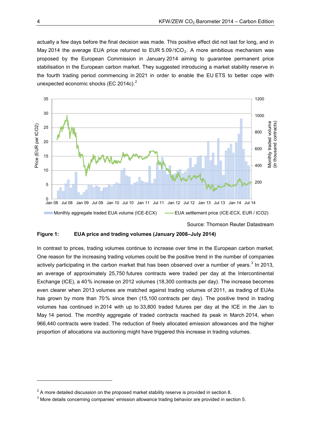actually a few days before the final decision was made. This positive effect did not last for long, and in May 2014 the average EUA price returned to EUR  $5.09 / tCO<sub>2</sub>$ . A more ambitious mechanism was proposed by the European Commission in January 2014 aiming to guarantee permanent price stabilisation in the European carbon market. They suggested introducing a market stability reserve in the fourth trading period commencing in 2021 in order to enable the EU ETS to better cope with unexpected economic shocks (EC [2](#page-5-0)014c). $2^2$ 



Source: Thomson Reuter Datastream

#### **Figure 1: EUA price and trading volumes (January 2008–July 2014)**

In contrast to prices, trading volumes continue to increase over time in the European carbon market. One reason for the increasing trading volumes could be the positive trend in the number of companies actively participating in the carbon market that has been observed over a number of years.<sup>[3](#page-5-1)</sup> In 2013, an average of approximately 25,750 futures contracts were traded per day at the Intercontinental Exchange (ICE), a 40% increase on 2012 volumes (18,300 contracts per day). The increase becomes even clearer when 2013 volumes are matched against trading volumes of 2011, as trading of EUAs has grown by more than 70% since then (15,100 contracts per day). The positive trend in trading volumes has continued in 2014 with up to 33,800 traded futures per day at the ICE in the Jan to May 14 period. The monthly aggregate of traded contracts reached its peak in March 2014, when 966,440 contracts were traded. The reduction of freely allocated emission allowances and the higher proportion of allocations via auctioning might have triggered this increase in trading volumes.

-

<span id="page-5-0"></span> $2\text{ A}$  more detailed discussion on the proposed market stability reserve is provided in section 8.

<span id="page-5-1"></span><sup>&</sup>lt;sup>3</sup> More details concerning companies' emission allowance trading behavior are provided in section 5.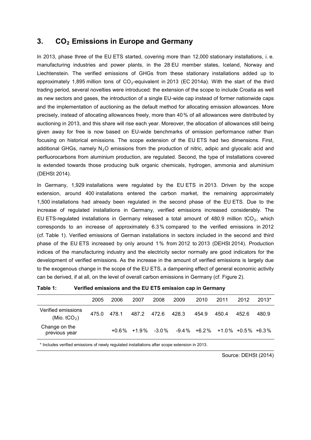## **3. CO2 Emissions in Europe and Germany**

In 2013, phase three of the EU ETS started, covering more than 12,000 stationary installations, i. e. manufacturing industries and power plants, in the 28 EU member states, Iceland, Norway and Liechtenstein. The verified emissions of GHGs from these stationary installations added up to approximately 1,895 million tons of  $CO<sub>2</sub>$ -equivalent in 2013 (EC 2014a). With the start of the third trading period, several novelties were introduced: the extension of the scope to include Croatia as well as new sectors and gases, the introduction of a single EU-wide cap instead of former nationwide caps and the implementation of auctioning as the default method for allocating emission allowances. More precisely, instead of allocating allowances freely, more than 40% of all allowances were distributed by auctioning in 2013, and this share will rise each year. Moreover, the allocation of allowances still being given away for free is now based on EU-wide benchmarks of emission performance rather than focusing on historical emissions. The scope extension of the EU ETS had two dimensions. First, additional GHGs, namely  $N<sub>2</sub>O$  emissions from the production of nitric, adipic and glyocalic acid and perfluorocarbons from aluminium production, are regulated. Second, the type of installations covered is extended towards those producing bulk organic chemicals, hydrogen, ammonia and aluminium (DEHSt 2014).

In Germany, 1,929 installations were regulated by the EU ETS in 2013. Driven by the scope extension, around 400 installations entered the carbon market, the remaining approximately 1,500 installations had already been regulated in the second phase of the EU ETS. Due to the increase of regulated installations in Germany, verified emissions increased considerably. The EU ETS-regulated installations in Germany released a total amount of 480.9 million tCO<sub>2</sub>, which corresponds to an increase of approximately 6.3 % compared to the verified emissions in 2012 (cf. Table 1). Verified emissions of German installations in sectors included in the second and third phase of the EU ETS increased by only around 1% from 2012 to 2013 (DEHSt 2014). Production indices of the manufacturing industry and the electricity sector normally are good indicators for the development of verified emissions. As the increase in the amount of verified emissions is largely due to the exogenous change in the scope of the EU ETS, a dampening effect of general economic activity can be derived, if at all, on the level of overall carbon emissions in Germany (cf. Figure 2).

| Table 1: | Verified emissions and the EU ETS emission cap in Germany |
|----------|-----------------------------------------------------------|
|----------|-----------------------------------------------------------|

|                                      | 2005  | 2006  | 2007        | 2008                       | 2009  | 2010  | 2011                                         | 2012  | $2013*$ |
|--------------------------------------|-------|-------|-------------|----------------------------|-------|-------|----------------------------------------------|-------|---------|
| Verified emissions<br>(Mio. $tCO2$ ) | 475.0 | 478.1 | 487.2 472.6 |                            | 428.3 | 454.9 | 450.4                                        | 452.6 | 480.9   |
| Change on the<br>previous year       |       |       |             | $+0.6\%$ $+1.9\%$ $-3.0\%$ |       |       | $-9.4\%$ $+6.2\%$ $+1.0\%$ $+0.5\%$ $+6.3\%$ |       |         |
|                                      |       |       |             |                            |       |       |                                              |       |         |

\* Includes verified emissions of newly regulated installations after scope extension in 2013.

Source: DEHSt (2014)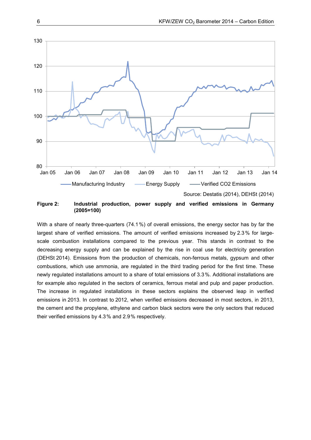

#### **Figure 2: Industrial production, power supply and verified emissions in Germany (2005=100)**

With a share of nearly three-quarters (74.1%) of overall emissions, the energy sector has by far the largest share of verified emissions. The amount of verified emissions increased by 2.3% for largescale combustion installations compared to the previous year. This stands in contrast to the decreasing energy supply and can be explained by the rise in coal use for electricity generation (DEHSt 2014). Emissions from the production of chemicals, non-ferrous metals, gypsum and other combustions, which use ammonia, are regulated in the third trading period for the first time. These newly regulated installations amount to a share of total emissions of 3.3%. Additional installations are for example also regulated in the sectors of ceramics, ferrous metal and pulp and paper production. The increase in regulated installations in these sectors explains the observed leap in verified emissions in 2013. In contrast to 2012, when verified emissions decreased in most sectors, in 2013, the cement and the propylene, ethylene and carbon black sectors were the only sectors that reduced their verified emissions by 4.3% and 2.9% respectively.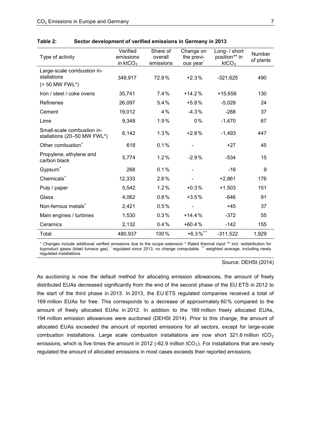| Type of activity                                            | Verified<br>emissions<br>in $ktCO2$ | Share of<br>overall<br>emissions | Change on<br>the previ-<br>ous year | Long- / short<br>position** in<br>ktCO <sub>2</sub> | Number<br>of plants |
|-------------------------------------------------------------|-------------------------------------|----------------------------------|-------------------------------------|-----------------------------------------------------|---------------------|
| Large-scale combustion in-<br>stallations<br>(> 50 MW FWL*) | 349,917                             | 72.8%                            | $+2.3%$                             | $-321,625$                                          | 490                 |
| Iron / steel / coke ovens                                   | 35,741                              | 7.4%                             | $+14.2%$                            | $+15,656$                                           | 130                 |
| <b>Refineries</b>                                           | 26,097                              | 5.4%                             | $+5.8%$                             | $-5,028$                                            | 24                  |
| Cement                                                      | 19,012                              | 4%                               | $-4.3%$                             | $-288$                                              | 37                  |
| Lime                                                        | 9,348                               | 1.9%                             | $0\%$                               | $-1,470$                                            | 67                  |
| Small-scale combustion in-<br>stallations (20-50 MW FWL*)   | 6,142                               | 1.3%                             | $+2.8%$                             | $-1,493$                                            | 447                 |
| Other combustion <sup>+</sup>                               | 618                                 | 0.1%                             |                                     | $+27$                                               | 45                  |
| Propylene, ethylene and<br>carbon black                     | 5,774                               | 1.2%                             | $-2.9%$                             | $-534$                                              | 15                  |
| Gypsum <sup>+</sup>                                         | 268                                 | 0.1%                             |                                     | $-16$                                               | 9                   |
| Chemicals <sup>+</sup>                                      | 12,333                              | 2.6%                             |                                     | $+2,861$                                            | 176                 |
| Pulp / paper                                                | 5,542                               | $1.2\%$                          | $+0.3%$                             | $+1,503$                                            | 151                 |
| Glass                                                       | 4,062                               | 0.8%                             | $+3.5%$                             | $-646$                                              | 91                  |
| Non-ferrous metals <sup>+</sup>                             | 2,421                               | 0.5%                             |                                     | $+45$                                               | 37                  |
| Main engines / turbines                                     | 1,530                               | 0.3%                             | $+14.4%$                            | $-372$                                              | 55                  |
| Ceramics                                                    | 2,132                               | 0.4%                             | $+60.4%$                            | $-142$                                              | 155                 |
| Total                                                       | 480,937                             | 100%                             | $+6.3\%$ <sup>++</sup>              | $-311,522$                                          | 1,929               |

| Table 2: | Sector development of verified emissions in Germany in 2013 |  |
|----------|-------------------------------------------------------------|--|
|----------|-------------------------------------------------------------|--|

° Changes include additional verified emissions due to the scope extension \* Rated thermal input \*\* incl. redistribution for byproduct gases (blast furnace gas) + regulated since 2013, no change computable. <sup>++</sup> weighted average, including newly regulated installations

Source: DEHSt (2014)

As auctioning is now the default method for allocating emission allowances, the amount of freely distributed EUAs decreased significantly from the end of the second phase of the EU ETS in 2012 to the start of the third phase in 2013. In 2013, the EU ETS regulated companies received a total of 169 million EUAs for free. This corresponds to a decrease of approximately 60% compared to the amount of freely allocated EUAs in 2012. In addition to the 169 million freely allocated EUAs, 194 million emission allowances were auctioned (DEHSt 2014). Prior to this change, the amount of allocated EUAs exceeded the amount of reported emissions for all sectors, except for large-scale combustion installations. Large scale combustion installations are now short 321.6 million  $tCO<sub>2</sub>$ emissions, which is five times the amount in 2012 (-62.9 million tCO<sub>2</sub>). For installations that are newly regulated the amount of allocated emissions in most cases exceeds their reported emissions.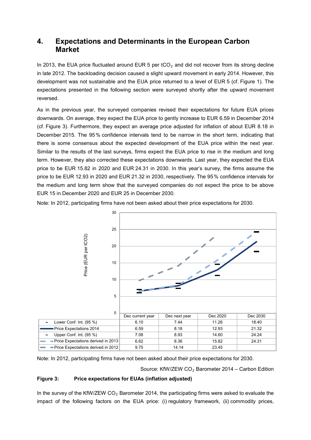## **4. Expectations and Determinants in the European Carbon Market**

In 2013, the EUA price fluctuated around EUR 5 per  $tCO<sub>2</sub>$  and did not recover from its strong decline in late 2012. The backloading decision caused a slight upward movement in early 2014. However, this development was not sustainable and the EUA price returned to a level of EUR 5 (cf. Figure 1). The expectations presented in the following section were surveyed shortly after the upward movement reversed.

As in the previous year, the surveyed companies revised their expectations for future EUA prices downwards. On average, they expect the EUA price to gently increase to EUR 6.59 in December 2014 (cf. Figure 3). Furthermore, they expect an average price adjusted for inflation of about EUR 8.18 in December 2015. The 95 % confidence intervals tend to be narrow in the short term, indicating that there is some consensus about the expected development of the EUA price within the next year. Similar to the results of the last surveys, firms expect the EUA price to rise in the medium and long term. However, they also corrected these expectations downwards. Last year, they expected the EUA price to be EUR 15.82 in 2020 and EUR 24.31 in 2030. In this year's survey, the firms assume the price to be EUR 12.93 in 2020 and EUR 21.32 in 2030, respectively. The 95% confidence intervals for the medium and long term show that the surveyed companies do not expect the price to be above EUR 15 in December 2020 and EUR 25 in December 2030.

Note: In 2012, participating firms have not been asked about their price expectations for 2030.



Note: In 2012, participating firms have not been asked about their price expectations for 2030.

Source: KfW/ZEW  $CO<sub>2</sub>$  Barometer 2014 – Carbon Edition

#### **Figure 3: Price expectations for EUAs (inflation adjusted)**

In the survey of the KfW/ZEW  $CO<sub>2</sub>$  Barometer 2014, the participating firms were asked to evaluate the impact of the following factors on the EUA price: (i) regulatory framework, (ii) commodity prices,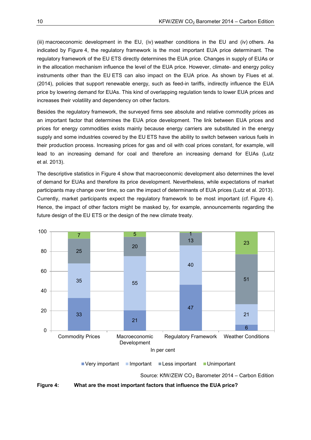(iii) macroeconomic development in the EU, (iv) weather conditions in the EU and (iv) others. As indicated by Figure 4, the regulatory framework is the most important EUA price determinant. The regulatory framework of the EU ETS directly determines the EUA price. Changes in supply of EUAs or in the allocation mechanism influence the level of the EUA price. However, climate- and energy policy instruments other than the EU ETS can also impact on the EUA price. As shown by Flues et al. (2014), policies that support renewable energy, such as feed-in tariffs, indirectly influence the EUA price by lowering demand for EUAs. This kind of overlapping regulation tends to lower EUA prices and increases their volatility and dependency on other factors.

Besides the regulatory framework, the surveyed firms see absolute and relative commodity prices as an important factor that determines the EUA price development. The link between EUA prices and prices for energy commodities exists mainly because energy carriers are substituted in the energy supply and some industries covered by the EU ETS have the ability to switch between various fuels in their production process. Increasing prices for gas and oil with coal prices constant, for example, will lead to an increasing demand for coal and therefore an increasing demand for EUAs (Lutz et al. 2013).

The descriptive statistics in Figure 4 show that macroeconomic development also determines the level of demand for EUAs and therefore its price development. Nevertheless, while expectations of market participants may change over time, so can the impact of determinants of EUA prices (Lutz et al. 2013). Currently, market participants expect the regulatory framework to be most important (cf. Figure 4). Hence, the impact of other factors might be masked by, for example, announcements regarding the future design of the EU ETS or the design of the new climate treaty.



Source: KfW/ZEW CO<sub>2</sub> Barometer 2014 – Carbon Edition

**Figure 4: What are the most important factors that influence the EUA price?**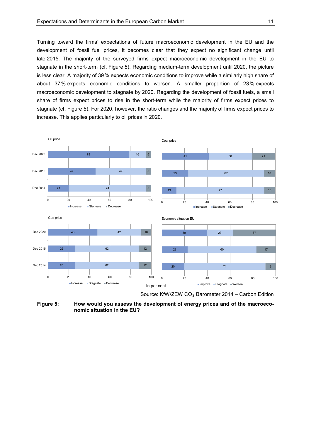Turning toward the firms' expectations of future macroeconomic development in the EU and the development of fossil fuel prices, it becomes clear that they expect no significant change until late 2015. The majority of the surveyed firms expect macroeconomic development in the EU to stagnate in the short-term (cf. Figure 5). Regarding medium-term development until 2020, the picture is less clear. A majority of 39% expects economic conditions to improve while a similarly high share of about 37% expects economic conditions to worsen. A smaller proportion of 23% expects macroeconomic development to stagnate by 2020. Regarding the development of fossil fuels, a small share of firms expect prices to rise in the short-term while the majority of firms expect prices to stagnate (cf. Figure 5). For 2020, however, the ratio changes and the majority of firms expect prices to increase. This applies particularly to oil prices in 2020.



Source: KfW/ZEW  $CO<sub>2</sub>$  Barometer 2014 – Carbon Edition

**Figure 5: How would you assess the development of energy prices and of the macroeconomic situation in the EU?**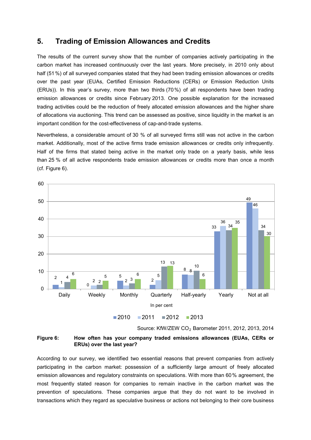## **5. Trading of Emission Allowances and Credits**

The results of the current survey show that the number of companies actively participating in the carbon market has increased continuously over the last years. More precisely, in 2010 only about half (51%) of all surveyed companies stated that they had been trading emission allowances or credits over the past year (EUAs, Certified Emission Reductions (CERs) or Emission Reduction Units (ERUs)). In this year's survey, more than two thirds (70%) of all respondents have been trading emission allowances or credits since February 2013. One possible explanation for the increased trading activities could be the reduction of freely allocated emission allowances and the higher share of allocations via auctioning. This trend can be assessed as positive, since liquidity in the market is an important condition for the cost-effectiveness of cap-and-trade systems.

Nevertheless, a considerable amount of 30 % of all surveyed firms still was not active in the carbon market. Additionally, most of the active firms trade emission allowances or credits only infrequently. Half of the firms that stated being active in the market only trade on a yearly basis, while less than 25 % of all active respondents trade emission allowances or credits more than once a month (cf. Figure 6).



Source: KfW/ZEW CO2 Barometer 2011, 2012, 2013, 2014

**Figure 6: How often has your company traded emissions allowances (EUAs, CERs or ERUs) over the last year?**

According to our survey, we identified two essential reasons that prevent companies from actively participating in the carbon market: possession of a sufficiently large amount of freely allocated emission allowances and regulatory constraints on speculations. With more than 60% agreement, the most frequently stated reason for companies to remain inactive in the carbon market was the prevention of speculations. These companies argue that they do not want to be involved in transactions which they regard as speculative business or actions not belonging to their core business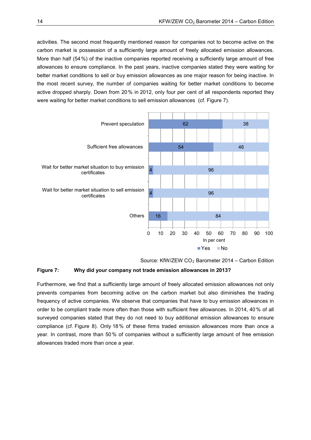activities. The second most frequently mentioned reason for companies not to become active on the carbon market is possession of a sufficiently large amount of freely allocated emission allowances. More than half (54%) of the inactive companies reported receiving a sufficiently large amount of free allowances to ensure compliance. In the past years, inactive companies stated they were waiting for better market conditions to sell or buy emission allowances as one major reason for being inactive. In the most recent survey, the number of companies waiting for better market conditions to become active dropped sharply. Down from 20% in 2012, only four per cent of all respondents reported they were waiting for better market conditions to sell emission allowances (cf. Figure 7).



Source: KfW/ZEW CO<sub>2</sub> Barometer 2014 – Carbon Edition

#### **Figure 7: Why did your company not trade emission allowances in 2013?**

Furthermore, we find that a sufficiently large amount of freely allocated emission allowances not only prevents companies from becoming active on the carbon market but also diminishes the trading frequency of active companies. We observe that companies that have to buy emission allowances in order to be compliant trade more often than those with sufficient free allowances. In 2014, 40% of all surveyed companies stated that they do not need to buy additional emission allowances to ensure compliance (cf. Figure 8). Only 18% of these firms traded emission allowances more than once a year. In contrast, more than 50% of companies without a sufficiently large amount of free emission allowances traded more than once a year.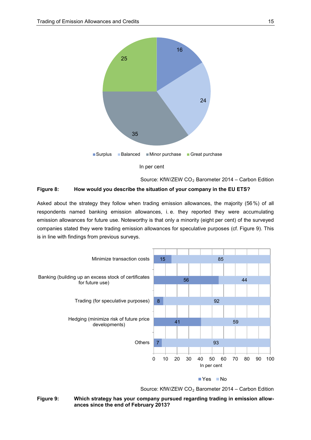

Source: KfW/ZEW  $CO<sub>2</sub>$  Barometer 2014 – Carbon Edition

#### **Figure 8: How would you describe the situation of your company in the EU ETS?**

Asked about the strategy they follow when trading emission allowances, the majority (56%) of all respondents named banking emission allowances, i. e. they reported they were accumulating emission allowances for future use. Noteworthy is that only a minority (eight per cent) of the surveyed companies stated they were trading emission allowances for speculative purposes (cf. Figure 9). This is in line with findings from previous surveys.



Source: KfW/ZEW CO<sub>2</sub> Barometer 2014 – Carbon Edition

**Figure 9: Which strategy has your company pursued regarding trading in emission allowances since the end of February 2013?**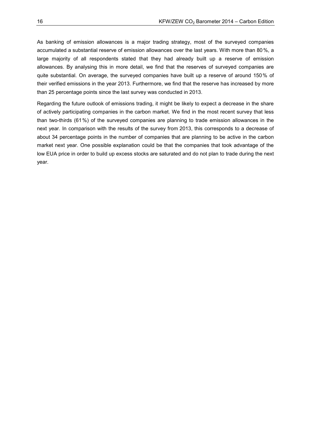As banking of emission allowances is a major trading strategy, most of the surveyed companies accumulated a substantial reserve of emission allowances over the last years. With more than 80%, a large majority of all respondents stated that they had already built up a reserve of emission allowances. By analysing this in more detail, we find that the reserves of surveyed companies are quite substantial. On average, the surveyed companies have built up a reserve of around 150% of their verified emissions in the year 2013. Furthermore, we find that the reserve has increased by more than 25 percentage points since the last survey was conducted in 2013.

Regarding the future outlook of emissions trading, it might be likely to expect a decrease in the share of actively participating companies in the carbon market. We find in the most recent survey that less than two-thirds (61%) of the surveyed companies are planning to trade emission allowances in the next year. In comparison with the results of the survey from 2013, this corresponds to a decrease of about 34 percentage points in the number of companies that are planning to be active in the carbon market next year. One possible explanation could be that the companies that took advantage of the low EUA price in order to build up excess stocks are saturated and do not plan to trade during the next year.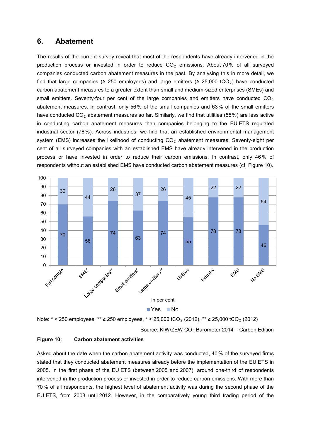## **6. Abatement**

The results of the current survey reveal that most of the respondents have already intervened in the production process or invested in order to reduce  $CO<sub>2</sub>$  emissions. About 70% of all surveyed companies conducted carbon abatement measures in the past. By analysing this in more detail, we find that large companies ( $\geq$  250 employees) and large emitters ( $\geq$  25,000 tCO<sub>2</sub>) have conducted carbon abatement measures to a greater extent than small and medium-sized enterprises (SMEs) and small emitters. Seventy-four per cent of the large companies and emitters have conducted  $CO<sub>2</sub>$ abatement measures. In contrast, only 56% of the small companies and 63% of the small emitters have conducted  $CO<sub>2</sub>$  abatement measures so far. Similarly, we find that utilities (55%) are less active in conducting carbon abatement measures than companies belonging to the EU ETS regulated industrial sector (78%). Across industries, we find that an established environmental management system (EMS) increases the likelihood of conducting  $CO<sub>2</sub>$  abatement measures. Seventy-eight per cent of all surveyed companies with an established EMS have already intervened in the production process or have invested in order to reduce their carbon emissions. In contrast, only 46% of respondents without an established EMS have conducted carbon abatement measures (cf. Figure 10).



Note:  $*$  < 250 employees,  $*$  ≥ 250 employees,  $\degree$  < 25,000 tCO<sub>2</sub> (2012),  $\degree$  ≥ 25,000 tCO<sub>2</sub> (2012)

Source: KfW/ZEW  $CO<sub>2</sub>$  Barometer 2014 – Carbon Edition

#### **Figure 10: Carbon abatement activities**

Asked about the date when the carbon abatement activity was conducted, 40 % of the surveyed firms stated that they conducted abatement measures already before the implementation of the EU ETS in 2005. In the first phase of the EU ETS (between 2005 and 2007), around one-third of respondents intervened in the production process or invested in order to reduce carbon emissions. With more than 70% of all respondents, the highest level of abatement activity was during the second phase of the EU ETS, from 2008 until 2012. However, in the comparatively young third trading period of the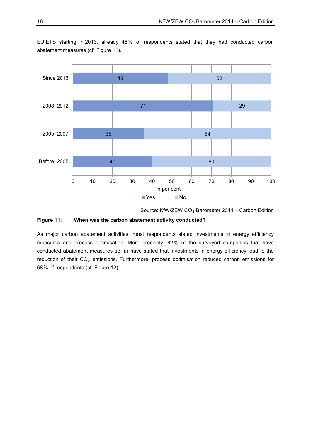

EU ETS starting in 2013, already 48% of respondents stated that they had conducted carbon abatement measures (cf. Figure 11).

Source: KfW/ZEW  $CO<sub>2</sub>$  Barometer 2014 – Carbon Edition

#### **Figure 11: When was the carbon abatement activity conducted?**

As major carbon abatement activities, most respondents stated investments in energy efficiency measures and process optimisation. More precisely, 82% of the surveyed companies that have conducted abatement measures so far have stated that investments in energy efficiency lead to the reduction of their  $CO<sub>2</sub>$  emissions. Furthermore, process optimisation reduced carbon emissions for 68% of respondents (cf. Figure 12).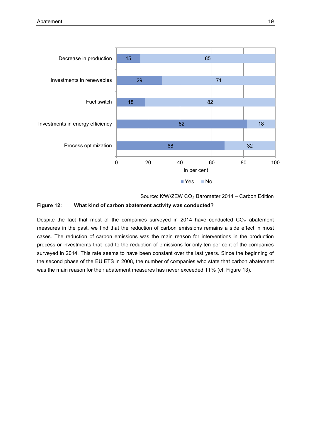

Source: KfW/ZEW CO<sub>2</sub> Barometer 2014 – Carbon Edition

#### **Figure 12: What kind of carbon abatement activity was conducted?**

Despite the fact that most of the companies surveyed in 2014 have conducted  $CO<sub>2</sub>$  abatement measures in the past, we find that the reduction of carbon emissions remains a side effect in most cases. The reduction of carbon emissions was the main reason for interventions in the production process or investments that lead to the reduction of emissions for only ten per cent of the companies surveyed in 2014. This rate seems to have been constant over the last years. Since the beginning of the second phase of the EU ETS in 2008, the number of companies who state that carbon abatement was the main reason for their abatement measures has never exceeded 11% (cf. Figure 13).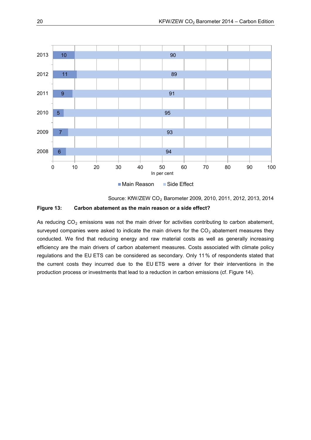

Main Reason Side Effect

Source: KfW/ZEW CO2 Barometer 2009, 2010, 2011, 2012, 2013, 2014

#### **Figure 13: Carbon abatement as the main reason or a side effect?**

As reducing  $CO<sub>2</sub>$  emissions was not the main driver for activities contributing to carbon abatement, surveyed companies were asked to indicate the main drivers for the  $CO<sub>2</sub>$  abatement measures they conducted. We find that reducing energy and raw material costs as well as generally increasing efficiency are the main drivers of carbon abatement measures. Costs associated with climate policy regulations and the EU ETS can be considered as secondary. Only 11% of respondents stated that the current costs they incurred due to the EU ETS were a driver for their interventions in the production process or investments that lead to a reduction in carbon emissions (cf. Figure 14).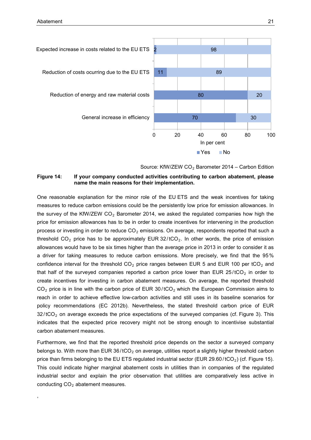,



Source: KfW/ZEW  $CO<sub>2</sub>$  Barometer 2014 – Carbon Edition

#### **Figure 14: If your company conducted activities contributing to carbon abatement, please name the main reasons for their implementation.**

One reasonable explanation for the minor role of the EU ETS and the weak incentives for taking measures to reduce carbon emissions could be the persistently low price for emission allowances. In the survey of the KfW/ZEW  $CO<sub>2</sub>$  Barometer 2014, we asked the regulated companies how high the price for emission allowances has to be in order to create incentives for intervening in the production process or investing in order to reduce  $CO<sub>2</sub>$  emissions. On average, respondents reported that such a threshold  $CO<sub>2</sub>$  price has to be approximately EUR 32/ $tCO<sub>2</sub>$ . In other words, the price of emission allowances would have to be six times higher than the average price in 2013 in order to consider it as a driver for taking measures to reduce carbon emissions. More precisely, we find that the 95% confidence interval for the threshold  $CO<sub>2</sub>$  price ranges between EUR 5 and EUR 100 per tCO<sub>2</sub> and that half of the surveyed companies reported a carbon price lower than EUR  $25/100<sub>2</sub>$  in order to create incentives for investing in carbon abatement measures. On average, the reported threshold  $CO<sub>2</sub>$  price is in line with the carbon price of EUR 30/tCO<sub>2</sub> which the European Commission aims to reach in order to achieve effective low-carbon activities and still uses in its baseline scenarios for policy recommendations (EC 2012b). Nevertheless, the stated threshold carbon price of EUR  $32/tCO<sub>2</sub>$  on average exceeds the price expectations of the surveyed companies (cf. Figure 3). This indicates that the expected price recovery might not be strong enough to incentivise substantial carbon abatement measures.

Furthermore, we find that the reported threshold price depends on the sector a surveyed company belongs to. With more than EUR  $36/1CO<sub>2</sub>$  on average, utilities report a slightly higher threshold carbon price than firms belonging to the EU ETS regulated industrial sector (EUR 29.60/tCO<sub>2</sub>) (cf. Figure 15). This could indicate higher marginal abatement costs in utilities than in companies of the regulated industrial sector and explain the prior observation that utilities are comparatively less active in conducting  $CO<sub>2</sub>$  abatement measures.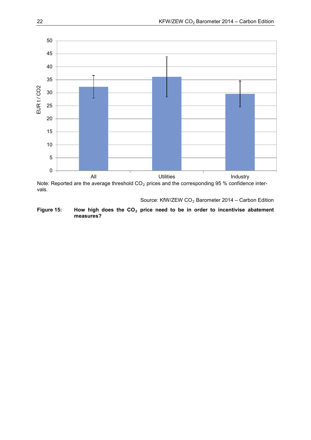

Note: Reported are the average threshold  $CO<sub>2</sub>$  prices and the corresponding 95 % confidence intervals.

Source: KfW/ZEW  $CO<sub>2</sub>$  Barometer 2014 – Carbon Edition

Figure 15: How high does the CO<sub>2</sub> price need to be in order to incentivise abatement **measures?**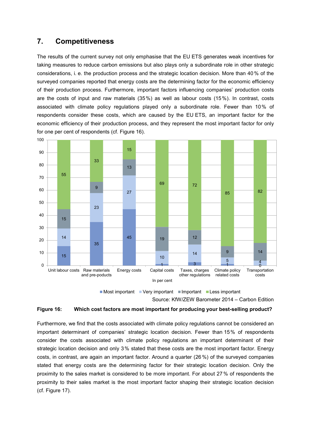## **7. Competitiveness**

The results of the current survey not only emphasise that the EU ETS generates weak incentives for taking measures to reduce carbon emissions but also plays only a subordinate role in other strategic considerations, i. e. the production process and the strategic location decision. More than 40 % of the surveyed companies reported that energy costs are the determining factor for the economic efficiency of their production process. Furthermore, important factors influencing companies' production costs are the costs of input and raw materials (35%) as well as labour costs (15%). In contrast, costs associated with climate policy regulations played only a subordinate role. Fewer than 10% of respondents consider these costs, which are caused by the EU ETS, an important factor for the economic efficiency of their production process, and they represent the most important factor for only for one per cent of respondents (cf. Figure 16).



 $\blacksquare$ Most important  $\blacksquare$  Very important  $\blacksquare$  Important  $\blacksquare$  Less important

Source: KfW/ZEW Barometer 2014 – Carbon Edition

#### **Figure 16: Which cost factors are most important for producing your best-selling product?**

Furthermore, we find that the costs associated with climate policy regulations cannot be considered an important determinant of companies' strategic location decision. Fewer than 15% of respondents consider the costs associated with climate policy regulations an important determinant of their strategic location decision and only 3% stated that these costs are the most important factor. Energy costs, in contrast, are again an important factor. Around a quarter (26 %) of the surveyed companies stated that energy costs are the determining factor for their strategic location decision. Only the proximity to the sales market is considered to be more important. For about 27 % of respondents the proximity to their sales market is the most important factor shaping their strategic location decision (cf. Figure 17).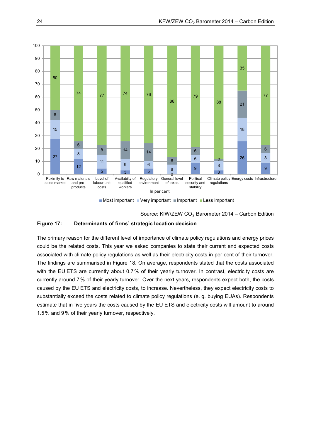



Source: KfW/ZEW  $CO<sub>2</sub>$  Barometer 2014 – Carbon Edition

#### **Figure 17: Determinants of firms' strategic location decision**

The primary reason for the different level of importance of climate policy regulations and energy prices could be the related costs. This year we asked companies to state their current and expected costs associated with climate policy regulations as well as their electricity costs in per cent of their turnover. The findings are summarised in Figure 18. On average, respondents stated that the costs associated with the EU ETS are currently about 0.7% of their yearly turnover. In contrast, electricity costs are currently around 7% of their yearly turnover. Over the next years, respondents expect both, the costs caused by the EU ETS and electricity costs, to increase. Nevertheless, they expect electricity costs to substantially exceed the costs related to climate policy regulations (e. g. buying EUAs). Respondents estimate that in five years the costs caused by the EU ETS and electricity costs will amount to around 1.5% and 9% of their yearly turnover, respectively.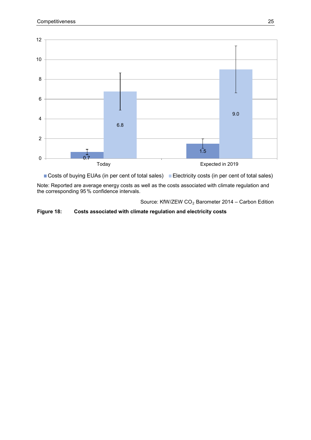

■ Costs of buying EUAs (in per cent of total sales) ■ Electricity costs (in per cent of total sales)

Note: Reported are average energy costs as well as the costs associated with climate regulation and the corresponding 95% confidence intervals.

Source: KfW/ZEW  $CO<sub>2</sub>$  Barometer 2014 – Carbon Edition

**Figure 18: Costs associated with climate regulation and electricity costs**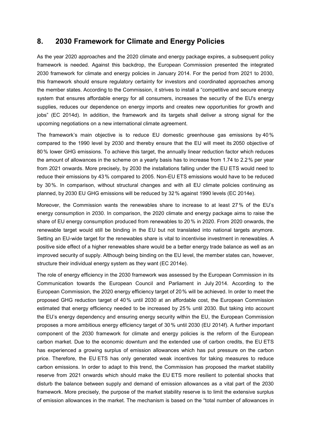## **8. 2030 Framework for Climate and Energy Policies**

As the year 2020 approaches and the 2020 climate and energy package expires, a subsequent policy framework is needed. Against this backdrop, the European Commission presented the integrated 2030 framework for climate and energy policies in January 2014. For the period from 2021 to 2030, this framework should ensure regulatory certainty for investors and coordinated approaches among the member states. According to the Commission, it strives to install a "competitive and secure energy system that ensures affordable energy for all consumers, increases the security of the EU's energy supplies, reduces our dependence on energy imports and creates new opportunities for growth and jobs" (EC 2014d). In addition, the framework and its targets shall deliver a strong signal for the upcoming negotiations on a new international climate agreement.

The framework's main objective is to reduce EU domestic greenhouse gas emissions by 40% compared to the 1990 level by 2030 and thereby ensure that the EU will meet its 2050 objective of 80% lower GHG emissions. To achieve this target, the annually linear reduction factor which reduces the amount of allowances in the scheme on a yearly basis has to increase from 1.74 to 2.2 % per year from 2021 onwards. More precisely, by 2030 the installations falling under the EU ETS would need to reduce their emissions by 43% compared to 2005. Non-EU ETS emissions would have to be reduced by 30%. In comparison, without structural changes and with all EU climate policies continuing as planned, by 2030 EU GHG emissions will be reduced by 32% against 1990 levels (EC 2014e).

Moreover, the Commission wants the renewables share to increase to at least 27 % of the EU's energy consumption in 2030. In comparison, the 2020 climate and energy package aims to raise the share of EU energy consumption produced from renewables to 20 % in 2020. From 2020 onwards, the renewable target would still be binding in the EU but not translated into national targets anymore. Setting an EU-wide target for the renewables share is vital to incentivise investment in renewables. A positive side effect of a higher renewables share would be a better energy trade balance as well as an improved security of supply. Although being binding on the EU level, the member states can, however, structure their individual energy system as they want (EC 2014e).

The role of energy efficiency in the 2030 framework was assessed by the European Commission in its Communication towards the European Council and Parliament in July 2014. According to the European Commission, the 2020 energy efficiency target of 20% will be achieved. In order to meet the proposed GHG reduction target of 40% until 2030 at an affordable cost, the European Commission estimated that energy efficiency needed to be increased by 25% until 2030. But taking into account the EU's energy dependency and ensuring energy security within the EU, the European Commission proposes a more ambitious energy efficiency target of 30% until 2030 (EU 2014f). A further important component of the 2030 framework for climate and energy policies is the reform of the European carbon market. Due to the economic downturn and the extended use of carbon credits, the EU ETS has experienced a growing surplus of emission allowances which has put pressure on the carbon price. Therefore, the EU ETS has only generated weak incentives for taking measures to reduce carbon emissions. In order to adapt to this trend, the Commission has proposed the market stability reserve from 2021 onwards which should make the EU ETS more resilient to potential shocks that disturb the balance between supply and demand of emission allowances as a vital part of the 2030 framework. More precisely, the purpose of the market stability reserve is to limit the extensive surplus of emission allowances in the market. The mechanism is based on the "total number of allowances in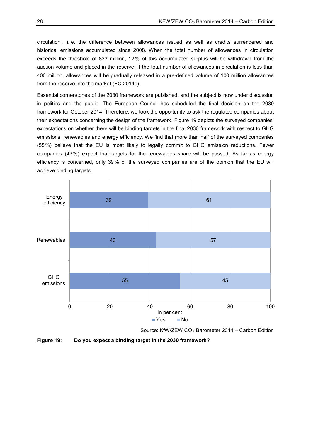circulation", i. e. the difference between allowances issued as well as credits surrendered and historical emissions accumulated since 2008. When the total number of allowances in circulation exceeds the threshold of 833 million, 12% of this accumulated surplus will be withdrawn from the auction volume and placed in the reserve. If the total number of allowances in circulation is less than 400 million, allowances will be gradually released in a pre-defined volume of 100 million allowances from the reserve into the market (EC 2014c).

Essential cornerstones of the 2030 framework are published, and the subject is now under discussion in politics and the public. The European Council has scheduled the final decision on the 2030 framework for October 2014. Therefore, we took the opportunity to ask the regulated companies about their expectations concerning the design of the framework. Figure 19 depicts the surveyed companies' expectations on whether there will be binding targets in the final 2030 framework with respect to GHG emissions, renewables and energy efficiency. We find that more than half of the surveyed companies (55%) believe that the EU is most likely to legally commit to GHG emission reductions. Fewer companies (43%) expect that targets for the renewables share will be passed. As far as energy efficiency is concerned, only 39% of the surveyed companies are of the opinion that the EU will achieve binding targets.



Source: KfW/ZEW  $CO<sub>2</sub>$  Barometer 2014 – Carbon Edition

**Figure 19: Do you expect a binding target in the 2030 framework?**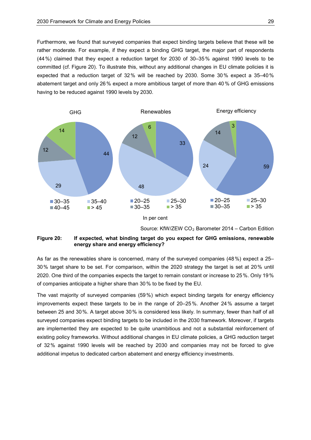Furthermore, we found that surveyed companies that expect binding targets believe that these will be rather moderate. For example, if they expect a binding GHG target, the major part of respondents (44%) claimed that they expect a reduction target for 2030 of 30–35% against 1990 levels to be committed (cf. Figure 20). To illustrate this, without any additional changes in EU climate policies it is expected that a reduction target of 32% will be reached by 2030. Some 30% expect a 35–40% abatement target and only 26% expect a more ambitious target of more than 40 % of GHG emissions having to be reduced against 1990 levels by 2030.



Source: KfW/ZEW CO<sub>2</sub> Barometer 2014 – Carbon Edition

#### **Figure 20: If expected, what binding target do you expect for GHG emissions, renewable energy share and energy efficiency?**

As far as the renewables share is concerned, many of the surveyed companies (48%) expect a 25– 30% target share to be set. For comparison, within the 2020 strategy the target is set at 20% until 2020. One third of the companies expects the target to remain constant or increase to 25%. Only 19% of companies anticipate a higher share than 30 % to be fixed by the EU.

The vast majority of surveyed companies (59%) which expect binding targets for energy efficiency improvements expect these targets to be in the range of 20–25%. Another 24% assume a target between 25 and 30%. A target above 30% is considered less likely. In summary, fewer than half of all surveyed companies expect binding targets to be included in the 2030 framework. Moreover, if targets are implemented they are expected to be quite unambitious and not a substantial reinforcement of existing policy frameworks. Without additional changes in EU climate policies, a GHG reduction target of 32% against 1990 levels will be reached by 2030 and companies may not be forced to give additional impetus to dedicated carbon abatement and energy efficiency investments.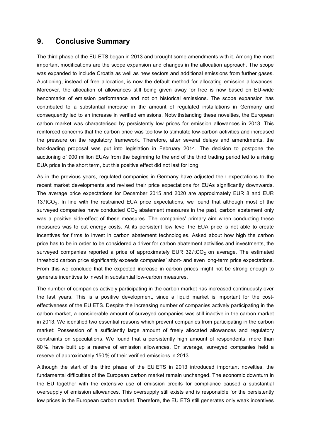## **9. Conclusive Summary**

The third phase of the EU ETS began in 2013 and brought some amendments with it. Among the most important modifications are the scope expansion and changes in the allocation approach. The scope was expanded to include Croatia as well as new sectors and additional emissions from further gases. Auctioning, instead of free allocation, is now the default method for allocating emission allowances. Moreover, the allocation of allowances still being given away for free is now based on EU-wide benchmarks of emission performance and not on historical emissions. The scope expansion has contributed to a substantial increase in the amount of regulated installations in Germany and consequently led to an increase in verified emissions. Notwithstanding these novelties, the European carbon market was characterised by persistently low prices for emission allowances in 2013. This reinforced concerns that the carbon price was too low to stimulate low-carbon activities and increased the pressure on the regulatory framework. Therefore, after several delays and amendments, the backloading proposal was put into legislation in February 2014. The decision to postpone the auctioning of 900 million EUAs from the beginning to the end of the third trading period led to a rising EUA price in the short term, but this positive effect did not last for long.

As in the previous years, regulated companies in Germany have adjusted their expectations to the recent market developments and revised their price expectations for EUAs significantly downwards. The average price expectations for December 2015 and 2020 are approximately EUR 8 and EUR  $13/$  tCO<sub>2</sub>. In line with the restrained EUA price expectations, we found that although most of the surveyed companies have conducted  $CO<sub>2</sub>$  abatement measures in the past, carbon abatement only was a positive side-effect of these measures. The companies' primary aim when conducting these measures was to cut energy costs. At its persistent low level the EUA price is not able to create incentives for firms to invest in carbon abatement technologies. Asked about how high the carbon price has to be in order to be considered a driver for carbon abatement activities and investments, the surveyed companies reported a price of approximately EUR  $32/tCO<sub>2</sub>$  on average. The estimated threshold carbon price significantly exceeds companies' short- and even long-term price expectations. From this we conclude that the expected increase in carbon prices might not be strong enough to generate incentives to invest in substantial low-carbon measures.

The number of companies actively participating in the carbon market has increased continuously over the last years. This is a positive development, since a liquid market is important for the costeffectiveness of the EU ETS. Despite the increasing number of companies actively participating in the carbon market, a considerable amount of surveyed companies was still inactive in the carbon market in 2013. We identified two essential reasons which prevent companies from participating in the carbon market: Possession of a sufficiently large amount of freely allocated allowances and regulatory constraints on speculations. We found that a persistently high amount of respondents, more than 80%, have built up a reserve of emission allowances. On average, surveyed companies held a reserve of approximately 150% of their verified emissions in 2013.

Although the start of the third phase of the EU ETS in 2013 introduced important novelties, the fundamental difficulties of the European carbon market remain unchanged. The economic downturn in the EU together with the extensive use of emission credits for compliance caused a substantial oversupply of emission allowances. This oversupply still exists and is responsible for the persistently low prices in the European carbon market. Therefore, the EU ETS still generates only weak incentives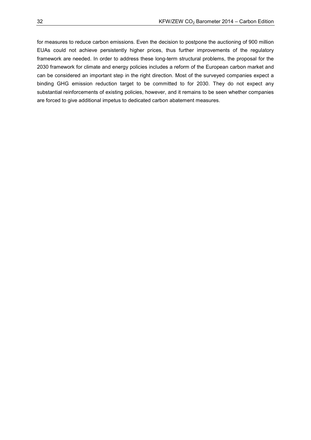for measures to reduce carbon emissions. Even the decision to postpone the auctioning of 900 million EUAs could not achieve persistently higher prices, thus further improvements of the regulatory framework are needed. In order to address these long-term structural problems, the proposal for the 2030 framework for climate and energy policies includes a reform of the European carbon market and can be considered an important step in the right direction. Most of the surveyed companies expect a binding GHG emission reduction target to be committed to for 2030. They do not expect any substantial reinforcements of existing policies, however, and it remains to be seen whether companies are forced to give additional impetus to dedicated carbon abatement measures.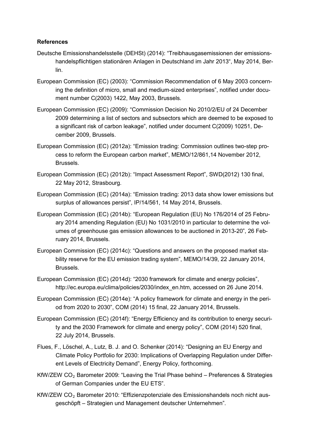### **References**

- Deutsche Emissionshandelsstelle (DEHSt) (2014): "Treibhausgasemissionen der emissionshandelspflichtigen stationären Anlagen in Deutschland im Jahr 2013", May 2014, Berlin.
- European Commission (EC) (2003): "Commission Recommendation of 6 May 2003 concerning the definition of micro, small and medium-sized enterprises", notified under document number C(2003) 1422, May 2003, Brussels.
- European Commission (EC) (2009): "Commission Decision No 2010/2/EU of 24 December 2009 determining a list of sectors and subsectors which are deemed to be exposed to a significant risk of carbon leakage", notified under document C(2009) 10251, December 2009, Brussels.
- European Commission (EC) (2012a): "Emission trading: Commission outlines two-step process to reform the European carbon market", MEMO/12/861,14 November 2012, Brussels.
- European Commission (EC) (2012b): "Impact Assessment Report", SWD(2012) 130 final, 22 May 2012, Strasbourg.
- European Commission (EC) (2014a): "Emission trading: 2013 data show lower emissions but surplus of allowances persist", IP/14/561, 14 May 2014, Brussels.
- European Commission (EC) (2014b): "European Regulation (EU) No 176/2014 of 25 February 2014 amending Regulation (EU) No 1031/2010 in particular to determine the volumes of greenhouse gas emission allowances to be auctioned in 2013-20", 26 February 2014, Brussels.
- European Commission (EC) (2014c): "Questions and answers on the proposed market stability reserve for the EU emission trading system", MEMO/14/39, 22 January 2014, Brussels.
- European Commission (EC) (2014d): "2030 framework for climate and energy policies", http://ec.europa.eu/clima/policies/2030/index\_en.htm, accessed on 26 June 2014.
- European Commission (EC) (2014e): "A policy framework for climate and energy in the period from 2020 to 2030", COM (2014) 15 final, 22 January 2014, Brussels.
- European Commission (EC) (2014f): "Energy Efficiency and its contribution to energy security and the 2030 Framework for climate and energy policy", COM (2014) 520 final, 22 July 2014, Brussels.
- Flues, F., Löschel, A., Lutz, B. J. and O. Schenker (2014): "Designing an EU Energy and Climate Policy Portfolio for 2030: Implications of Overlapping Regulation under Different Levels of Electricity Demand", Energy Policy, forthcoming.
- KfW/ZEW  $CO<sub>2</sub>$  Barometer 2009: "Leaving the Trial Phase behind Preferences & Strategies of German Companies under the EU ETS".
- KfW/ZEW CO<sub>2</sub> Barometer 2010: "Effizienzpotenziale des Emissionshandels noch nicht ausgeschöpft – Strategien und Management deutscher Unternehmen".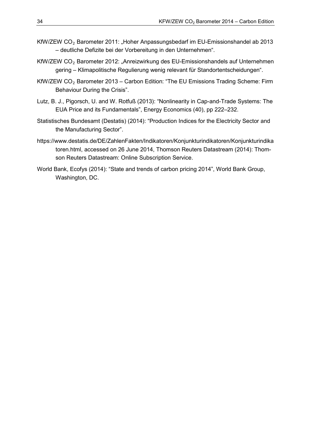- KfW/ZEW  $CO<sub>2</sub>$  Barometer 2011: "Hoher Anpassungsbedarf im EU-Emissionshandel ab 2013 – deutliche Defizite bei der Vorbereitung in den Unternehmen".
- KfW/ZEW CO<sub>2</sub> Barometer 2012: "Anreizwirkung des EU-Emissionshandels auf Unternehmen gering – Klimapolitische Regulierung wenig relevant für Standortentscheidungen".
- KfW/ZEW  $CO<sub>2</sub>$  Barometer 2013 Carbon Edition: "The EU Emissions Trading Scheme: Firm Behaviour During the Crisis".
- Lutz, B. J., Pigorsch, U. and W. Rotfuß (2013): "Nonlinearity in Cap-and-Trade Systems: The EUA Price and its Fundamentals", Energy Economics (40), pp 222–232.
- Statistisches Bundesamt (Destatis) (2014): "Production Indices for the Electricity Sector and the Manufacturing Sector".
- https://www.destatis.de/DE/ZahlenFakten/Indikatoren/Konjunkturindikatoren/Konjunkturindika toren.html, accessed on 26 June 2014, Thomson Reuters Datastream (2014): Thomson Reuters Datastream: Online Subscription Service.
- World Bank, Ecofys (2014): "State and trends of carbon pricing 2014", World Bank Group, Washington, DC.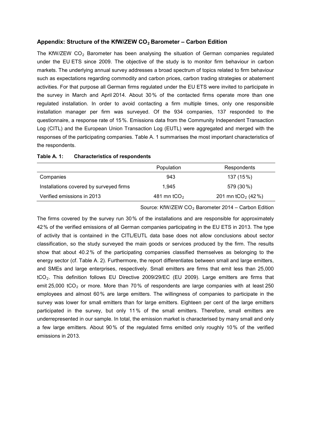#### Appendix: Structure of the KfW/ZEW CO<sub>2</sub> Barometer – Carbon Edition

The KfW/ZEW  $CO<sub>2</sub>$  Barometer has been analysing the situation of German companies regulated under the EU ETS since 2009. The objective of the study is to monitor firm behaviour in carbon markets. The underlying annual survey addresses a broad spectrum of topics related to firm behaviour such as expectations regarding commodity and carbon prices, carbon trading strategies or abatement activities. For that purpose all German firms regulated under the EU ETS were invited to participate in the survey in March and April 2014. About 30% of the contacted firms operate more than one regulated installation. In order to avoid contacting a firm multiple times, only one responsible installation manager per firm was surveyed. Of the 934 companies, 137 responded to the questionnaire, a response rate of 15%. Emissions data from the Community Independent Transaction Log (CITL) and the European Union Transaction Log (EUTL) were aggregated and merged with the responses of the participating companies. [Table A. 1](#page-36-0) summarises the most important characteristics of the respondents.

|                                         | Population              | Respondents                    |
|-----------------------------------------|-------------------------|--------------------------------|
| Companies                               | 943                     | 137 (15%)                      |
| Installations covered by surveyed firms | 1.945                   | 579 (30 %)                     |
| Verified emissions in 2013              | 481 mn tCO <sub>2</sub> | 201 mn tCO <sub>2</sub> (42 %) |

#### <span id="page-36-0"></span>**Table A. 1: Characteristics of respondents**

Source: KfW/ZEW  $CO<sub>2</sub>$  Barometer 2014 – Carbon Edition

The firms covered by the survey run 30% of the installations and are responsible for approximately 42% of the verified emissions of all German companies participating in the EU ETS in 2013. The type of activity that is contained in the CITL/EUTL data base does not allow conclusions about sector classification, so the study surveyed the main goods or services produced by the firm. The results show that about 40.2% of the participating companies classified themselves as belonging to the energy sector (cf. Table A. 2). Furthermore, the report differentiates between small and large emitters, and SMEs and large enterprises, respectively. Small emitters are firms that emit less than 25,000 tCO<sub>2</sub>. This definition follows EU Directive 2009/29/EC (EU 2009). Large emitters are firms that emit  $25,000$  tCO<sub>2</sub> or more. More than  $70\%$  of respondents are large companies with at least  $250$ employees and almost 60% are large emitters. The willingness of companies to participate in the survey was lower for small emitters than for large emitters. Eighteen per cent of the large emitters participated in the survey, but only 11% of the small emitters. Therefore, small emitters are underrepresented in our sample. In total, the emission market is characterised by many small and only a few large emitters. About 90% of the regulated firms emitted only roughly 10% of the verified emissions in 2013.